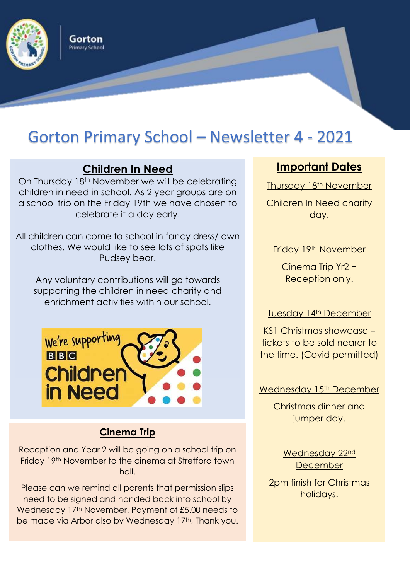

Gorton Primary School

# Gorton Primary School – Newsletter 4 - 2021

## **Children In Need**

On Thursday 18th November we will be celebrating children in need in school. As 2 year groups are on a school trip on the Friday 19th we have chosen to celebrate it a day early.

All children can come to school in fancy dress/ own clothes. We would like to see lots of spots like Pudsey bear.

Any voluntary contributions will go towards supporting the children in need charity and enrichment activities within our school.



### **Cinema Trip**

Reception and Year 2 will be going on a school trip on Friday 19th November to the cinema at Stretford town hall.

Please can we remind all parents that permission slips need to be signed and handed back into school by Wednesday 17<sup>th</sup> November. Payment of £5.00 needs to be made via Arbor also by Wednesday 17<sup>th</sup>, Thank you.

## **Important Dates**

Thursday 18<sup>th</sup> November

Children In Need charity day.

### Friday 19<sup>th</sup> November

Cinema Trip Yr2 + Reception only.

#### Tuesday 14<sup>th</sup> December

KS1 Christmas showcase – tickets to be sold nearer to the time. (Covid permitted)

#### Wednesday 15<sup>th</sup> December

Christmas dinner and jumper day.

> Wednesday 22nd **December**

2pm finish for Christmas holidays.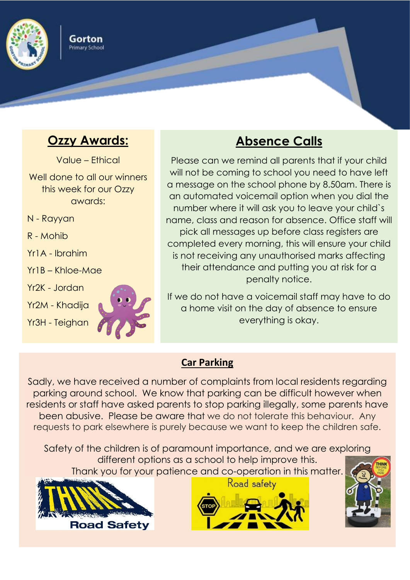

## **Ozzy Awards:**

Gorton Primary School

Value – Ethical

Well done to all our winners this week for our Ozzy awards:

N - Rayyan

R - Mohib

Yr1A - Ibrahim

Yr1B – Khloe-Mae

Yr2K - Jordan

Yr2M - Khadija

Yr3H - Teighan



## **Absence Calls**

Please can we remind all parents that if your child will not be coming to school you need to have left a message on the school phone by 8.50am. There is an automated voicemail option when you dial the number where it will ask you to leave your child`s name, class and reason for absence. Office staff will pick all messages up before class registers are completed every morning, this will ensure your child is not receiving any unauthorised marks affecting their attendance and putting you at risk for a penalty notice.

If we do not have a voicemail staff may have to do a home visit on the day of absence to ensure everything is okay.

## **Car Parking**

Sadly, we have received a number of complaints from local residents regarding parking around school. We know that parking can be difficult however when residents or staff have asked parents to stop parking illegally, some parents have been abusive. Please be aware that we do not tolerate this behaviour. Any requests to park elsewhere is purely because we want to keep the children safe.

Safety of the children is of paramount importance, and we are exploring different options as a school to help improve this. Thank you for your patience and co-operation in this matter.



Road safety